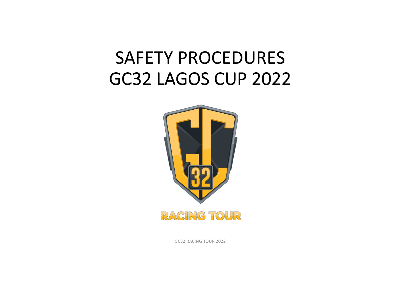#### SAFETY PROCEDURES GC32 LAGOS CUP 2022



GC32 RACING TOUR 2022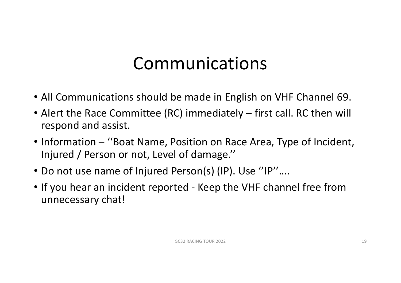#### Communications

- All Communications should be made in English on VHF Channel 69.
- Alert the Race Committee (RC) immediately first call. RC then will respond and assist.
- Information "Boat Name, Position on Race Area, Type of Incident, Injured / Person or not, Level of damage.''
- Do not use name of Injured Person(s) (IP). Use ''IP''….
- If you hear an incident reported Keep the VHF channel free from unnecessary chat!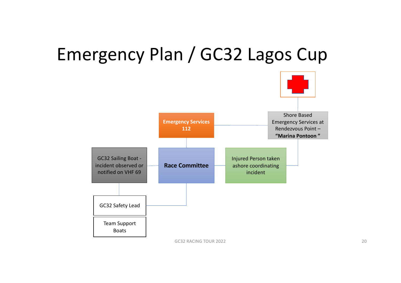#### Emergency Plan / GC32 Lagos Cup



GC32 RACING TOUR 2022 20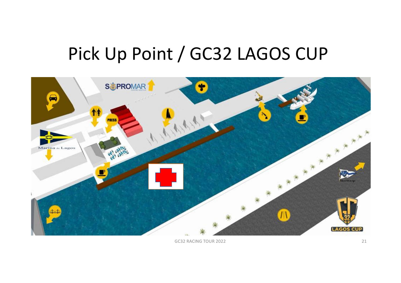### Pick Up Point / GC32 LAGOS CUP



GC32 RACING TOUR 2022 21 22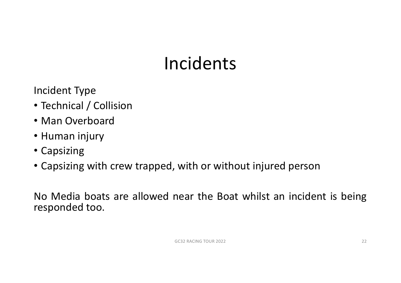### Incidents

Incident Type

- Technical / Collision
- Man Overboard
- Human injury
- Capsizing
- Capsizing with crew trapped, with or without injured person

No Media boats are allowed near the Boat whilst an incident is being responded too.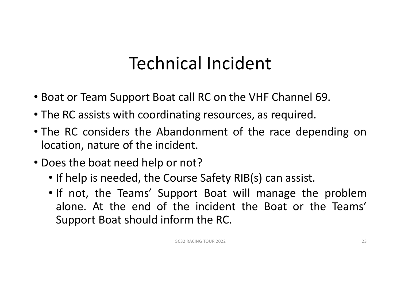### Technical Incident

- Boat or Team Support Boat call RC on the VHF Channel 69.
- The RC assists with coordinating resources, as required.
- The RC considers the Abandonment of the race depending on location, nature of the incident.
- Does the boat need help or not?
	- If help is needed, the Course Safety RIB(s) can assist.
	- If not, the Teams' Support Boat will manage the problem alone. At the end of the incident the Boat or the Teams' Support Boat should inform the RC.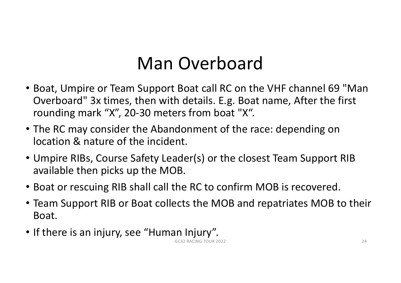### Man Overboard

- Boat, Umpire or Team Support Boat call RC on the VHF channel 69 "Man Overboard" 3x times, then with details. E.g. Boat name, After the first rounding mark "X", 20-30 meters from boat "X".
- The RC may consider the Abandonment of the race: depending on location & nature of the incident.
- Umpire RIBs, Course Safety Leader(s) or the closest Team Support RIB available then picks up the MOB.
- Boat or rescuing RIB shall call the RC to confirm MOB is recovered.
- Team Support RIB or Boat collects the MOB and repatriates MOB to their Boat.
- If there is an injury, see "Human Injury".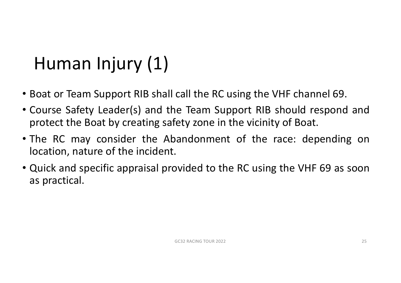## Human Injury (1)

- Boat or Team Support RIB shall call the RC using the VHF channel 69.
- Course Safety Leader(s) and the Team Support RIB should respond and protect the Boat by creating safety zone in the vicinity of Boat.
- The RC may consider the Abandonment of the race: depending on location, nature of the incident.
- Quick and specific appraisal provided to the RC using the VHF 69 as soon as practical.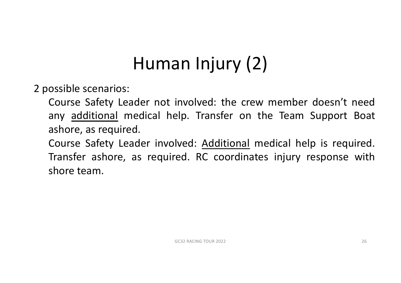### Human Injury (2)

2 possible scenarios:

Course Safety Leader not involved: the crew member doesn't need any additional medical help. Transfer on the Team Support Boat ashore, as required.

Course Safety Leader involved: Additional medical help is required. Transfer ashore, as required. RC coordinates injury response with shore team.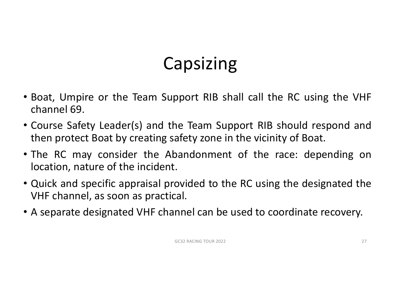# Capsizing

- Boat, Umpire or the Team Support RIB shall call the RC using the VHF channel 69.
- Course Safety Leader(s) and the Team Support RIB should respond and then protect Boat by creating safety zone in the vicinity of Boat.
- The RC may consider the Abandonment of the race: depending on location, nature of the incident.
- Quick and specific appraisal provided to the RC using the designated the VHF channel, as soon as practical.
- A separate designated VHF channel can be used to coordinate recovery.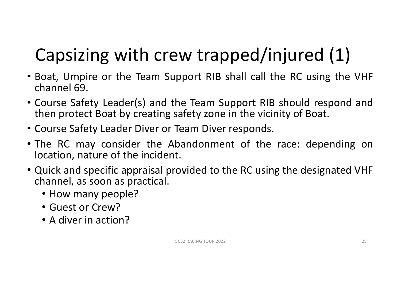# Capsizing with crew trapped/injured (1)

- Boat, Umpire or the Team Support RIB shall call the RC using the VHF channel 69.
- Course Safety Leader(s) and the Team Support RIB should respond and then protect Boat by creating safety zone in the vicinity of Boat.
- Course Safety Leader Diver or Team Diver responds.
- The RC may consider the Abandonment of the race: depending on location, nature of the incident.
- Quick and specific appraisal provided to the RC using the designated VHF channel, as soon as practical.
	- How many people?
	- Guest or Crew?
	- A diver in action?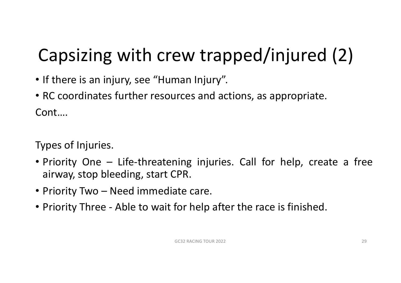# Capsizing with crew trapped/injured (2)

- If there is an injury, see "Human Injury".
- RC coordinates further resources and actions, as appropriate. Cont….

Types of Injuries.

- Priority One Life-threatening injuries. Call for help, create a free airway, stop bleeding, start CPR.
- Priority Two Need immediate care.
- Priority Three Able to wait for help after the race is finished.